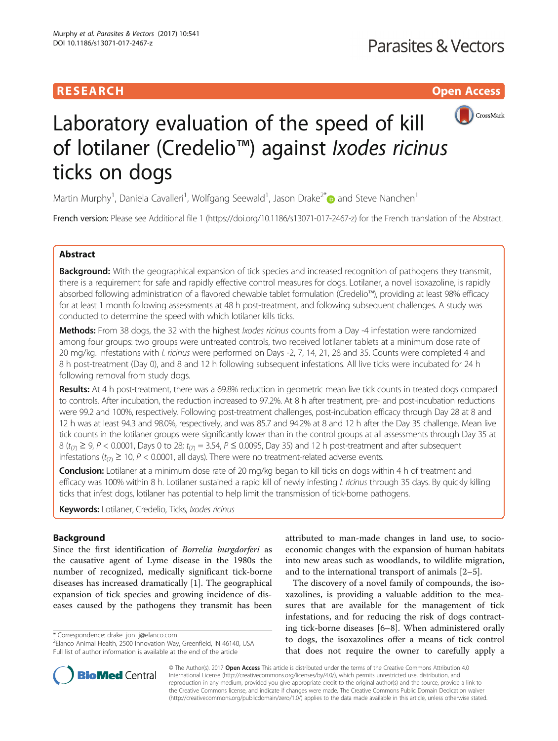## **RESEARCH CHILD CONTROL** CONTROL CONTROL CONTROL CONTROL CONTROL CONTROL CONTROL CONTROL CONTROL CONTROL CONTROL



# Laboratory evaluation of the speed of kill of lotilaner (Credelio™) against Ixodes ricinus ticks on dogs

Martin Murphy<sup>1</sup>, Daniela Cavalleri<sup>1</sup>, Wolfgang Seewald<sup>1</sup>, Jason Drake<sup>2\*</sup>@ and Steve Nanchen<sup>1</sup>

French version: Please see Additional file [1](#page-6-0) [\(https://doi.org/10.1186/s13071-017-2467-z\)](https://doi.org/10.1186/s13071-017-2467-z) for the French translation of the Abstract.

## Abstract

**Background:** With the geographical expansion of tick species and increased recognition of pathogens they transmit, there is a requirement for safe and rapidly effective control measures for dogs. Lotilaner, a novel isoxazoline, is rapidly absorbed following administration of a flavored chewable tablet formulation (Credelio™), providing at least 98% efficacy for at least 1 month following assessments at 48 h post-treatment, and following subsequent challenges. A study was conducted to determine the speed with which lotilaner kills ticks.

Methods: From 38 dogs, the 32 with the highest *Ixodes ricinus* counts from a Day -4 infestation were randomized among four groups: two groups were untreated controls, two received lotilaner tablets at a minimum dose rate of 20 mg/kg. Infestations with I. ricinus were performed on Days -2, 7, 14, 21, 28 and 35. Counts were completed 4 and 8 h post-treatment (Day 0), and 8 and 12 h following subsequent infestations. All live ticks were incubated for 24 h following removal from study dogs.

Results: At 4 h post-treatment, there was a 69.8% reduction in geometric mean live tick counts in treated dogs compared to controls. After incubation, the reduction increased to 97.2%. At 8 h after treatment, pre- and post-incubation reductions were 99.2 and 100%, respectively. Following post-treatment challenges, post-incubation efficacy through Day 28 at 8 and 12 h was at least 94.3 and 98.0%, respectively, and was 85.7 and 94.2% at 8 and 12 h after the Day 35 challenge. Mean live tick counts in the lotilaner groups were significantly lower than in the control groups at all assessments through Day 35 at 8 ( $t_{(7)} \ge 9$ ,  $P < 0.0001$ , Days 0 to 28;  $t_{(7)} = 3.54$ ,  $P \le 0.0095$ , Day 35) and 12 h post-treatment and after subsequent infestations ( $t_{(7)} \ge 10$ , P < 0.0001, all days). There were no treatment-related adverse events.

Conclusion: Lotilaner at a minimum dose rate of 20 mg/kg began to kill ticks on dogs within 4 h of treatment and efficacy was 100% within 8 h. Lotilaner sustained a rapid kill of newly infesting *l. ricinus* through 35 days. By quickly killing ticks that infest dogs, lotilaner has potential to help limit the transmission of tick-borne pathogens.

Keywords: Lotilaner, Credelio, Ticks, Ixodes ricinus

## Background

Since the first identification of Borrelia burgdorferi as the causative agent of Lyme disease in the 1980s the number of recognized, medically significant tick-borne diseases has increased dramatically [[1](#page-6-0)]. The geographical expansion of tick species and growing incidence of diseases caused by the pathogens they transmit has been

\* Correspondence: [drake\\_jon\\_j@elanco.com](mailto:drake_jon_j@elanco.com) <sup>2</sup>



The discovery of a novel family of compounds, the isoxazolines, is providing a valuable addition to the measures that are available for the management of tick infestations, and for reducing the risk of dogs contracting tick-borne diseases [[6](#page-6-0)–[8\]](#page-6-0). When administered orally to dogs, the isoxazolines offer a means of tick control that does not require the owner to carefully apply a



© The Author(s). 2017 **Open Access** This article is distributed under the terms of the Creative Commons Attribution 4.0 International License [\(http://creativecommons.org/licenses/by/4.0/](http://creativecommons.org/licenses/by/4.0/)), which permits unrestricted use, distribution, and reproduction in any medium, provided you give appropriate credit to the original author(s) and the source, provide a link to the Creative Commons license, and indicate if changes were made. The Creative Commons Public Domain Dedication waiver [\(http://creativecommons.org/publicdomain/zero/1.0/](http://creativecommons.org/publicdomain/zero/1.0/)) applies to the data made available in this article, unless otherwise stated.

<sup>&</sup>lt;sup>2</sup> Elanco Animal Health, 2500 Innovation Way, Greenfield, IN 46140, USA Full list of author information is available at the end of the article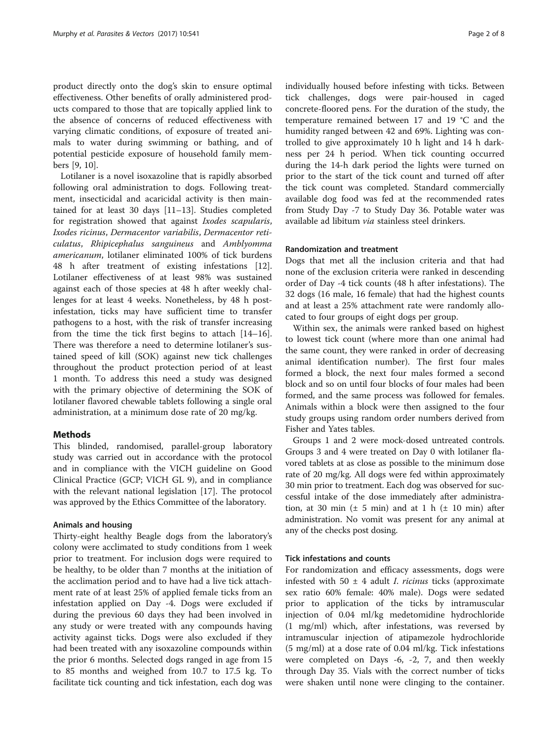product directly onto the dog's skin to ensure optimal effectiveness. Other benefits of orally administered products compared to those that are topically applied link to the absence of concerns of reduced effectiveness with varying climatic conditions, of exposure of treated animals to water during swimming or bathing, and of potential pesticide exposure of household family members [[9, 10\]](#page-6-0).

Lotilaner is a novel isoxazoline that is rapidly absorbed following oral administration to dogs. Following treatment, insecticidal and acaricidal activity is then maintained for at least 30 days [\[11](#page-6-0)–[13\]](#page-6-0). Studies completed for registration showed that against Ixodes scapularis, Ixodes ricinus, Dermacentor variabilis, Dermacentor reticulatus, Rhipicephalus sanguineus and Amblyomma americanum, lotilaner eliminated 100% of tick burdens 48 h after treatment of existing infestations [\[12](#page-6-0)]. Lotilaner effectiveness of at least 98% was sustained against each of those species at 48 h after weekly challenges for at least 4 weeks. Nonetheless, by 48 h postinfestation, ticks may have sufficient time to transfer pathogens to a host, with the risk of transfer increasing from the time the tick first begins to attach [[14](#page-6-0)–[16](#page-6-0)]. There was therefore a need to determine lotilaner's sustained speed of kill (SOK) against new tick challenges throughout the product protection period of at least 1 month. To address this need a study was designed with the primary objective of determining the SOK of lotilaner flavored chewable tablets following a single oral administration, at a minimum dose rate of 20 mg/kg.

## Methods

This blinded, randomised, parallel-group laboratory study was carried out in accordance with the protocol and in compliance with the VICH guideline on Good Clinical Practice (GCP; VICH GL 9), and in compliance with the relevant national legislation [\[17\]](#page-7-0). The protocol was approved by the Ethics Committee of the laboratory.

#### Animals and housing

Thirty-eight healthy Beagle dogs from the laboratory's colony were acclimated to study conditions from 1 week prior to treatment. For inclusion dogs were required to be healthy, to be older than 7 months at the initiation of the acclimation period and to have had a live tick attachment rate of at least 25% of applied female ticks from an infestation applied on Day -4. Dogs were excluded if during the previous 60 days they had been involved in any study or were treated with any compounds having activity against ticks. Dogs were also excluded if they had been treated with any isoxazoline compounds within the prior 6 months. Selected dogs ranged in age from 15 to 85 months and weighed from 10.7 to 17.5 kg. To facilitate tick counting and tick infestation, each dog was

individually housed before infesting with ticks. Between tick challenges, dogs were pair-housed in caged concrete-floored pens. For the duration of the study, the temperature remained between 17 and 19 °C and the humidity ranged between 42 and 69%. Lighting was controlled to give approximately 10 h light and 14 h darkness per 24 h period. When tick counting occurred during the 14-h dark period the lights were turned on prior to the start of the tick count and turned off after the tick count was completed. Standard commercially available dog food was fed at the recommended rates from Study Day -7 to Study Day 36. Potable water was available ad libitum via stainless steel drinkers.

## Randomization and treatment

Dogs that met all the inclusion criteria and that had none of the exclusion criteria were ranked in descending order of Day -4 tick counts (48 h after infestations). The 32 dogs (16 male, 16 female) that had the highest counts and at least a 25% attachment rate were randomly allocated to four groups of eight dogs per group.

Within sex, the animals were ranked based on highest to lowest tick count (where more than one animal had the same count, they were ranked in order of decreasing animal identification number). The first four males formed a block, the next four males formed a second block and so on until four blocks of four males had been formed, and the same process was followed for females. Animals within a block were then assigned to the four study groups using random order numbers derived from Fisher and Yates tables.

Groups 1 and 2 were mock-dosed untreated controls. Groups 3 and 4 were treated on Day 0 with lotilaner flavored tablets at as close as possible to the minimum dose rate of 20 mg/kg. All dogs were fed within approximately 30 min prior to treatment. Each dog was observed for successful intake of the dose immediately after administration, at 30 min  $(\pm 5 \text{ min})$  and at 1 h  $(\pm 10 \text{ min})$  after administration. No vomit was present for any animal at any of the checks post dosing.

## Tick infestations and counts

For randomization and efficacy assessments, dogs were infested with 50  $\pm$  4 adult *I. ricinus* ticks (approximate sex ratio 60% female: 40% male). Dogs were sedated prior to application of the ticks by intramuscular injection of 0.04 ml/kg medetomidine hydrochloride (1 mg/ml) which, after infestations, was reversed by intramuscular injection of atipamezole hydrochloride (5 mg/ml) at a dose rate of 0.04 ml/kg. Tick infestations were completed on Days -6, -2, 7, and then weekly through Day 35. Vials with the correct number of ticks were shaken until none were clinging to the container.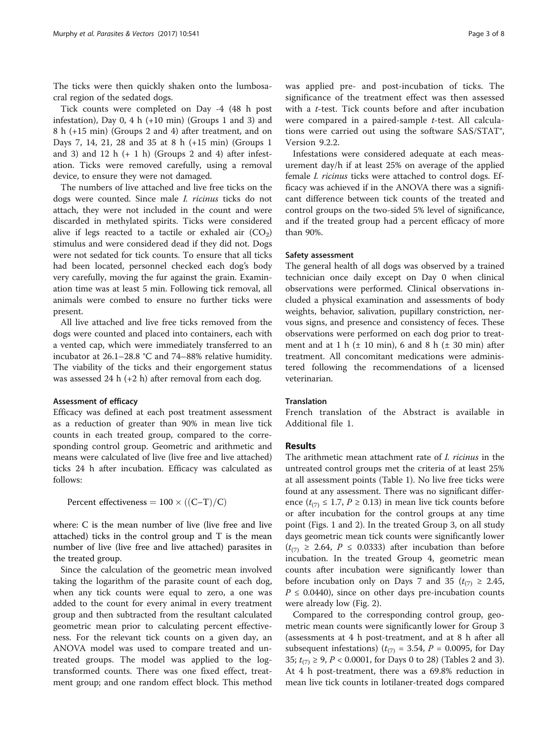The ticks were then quickly shaken onto the lumbosacral region of the sedated dogs.

Tick counts were completed on Day -4 (48 h post infestation), Day 0, 4 h  $(+10 \text{ min})$  (Groups 1 and 3) and 8 h (+15 min) (Groups 2 and 4) after treatment, and on Days 7, 14, 21, 28 and 35 at 8 h (+15 min) (Groups 1 and 3) and 12 h  $(+ 1 h)$  (Groups 2 and 4) after infestation. Ticks were removed carefully, using a removal device, to ensure they were not damaged.

The numbers of live attached and live free ticks on the dogs were counted. Since male I. ricinus ticks do not attach, they were not included in the count and were discarded in methylated spirits. Ticks were considered alive if legs reacted to a tactile or exhaled air  $(CO<sub>2</sub>)$ stimulus and were considered dead if they did not. Dogs were not sedated for tick counts. To ensure that all ticks had been located, personnel checked each dog's body very carefully, moving the fur against the grain. Examination time was at least 5 min. Following tick removal, all animals were combed to ensure no further ticks were present.

All live attached and live free ticks removed from the dogs were counted and placed into containers, each with a vented cap, which were immediately transferred to an incubator at 26.1–28.8 °C and 74–88% relative humidity. The viability of the ticks and their engorgement status was assessed 24 h (+2 h) after removal from each dog.

#### Assessment of efficacy

Efficacy was defined at each post treatment assessment as a reduction of greater than 90% in mean live tick counts in each treated group, compared to the corresponding control group. Geometric and arithmetic and means were calculated of live (live free and live attached) ticks 24 h after incubation. Efficacy was calculated as follows:

Percent effectiveness  $= 100 \times ((C-T)/C)$ 

where: C is the mean number of live (live free and live attached) ticks in the control group and T is the mean number of live (live free and live attached) parasites in the treated group.

Since the calculation of the geometric mean involved taking the logarithm of the parasite count of each dog, when any tick counts were equal to zero, a one was added to the count for every animal in every treatment group and then subtracted from the resultant calculated geometric mean prior to calculating percent effectiveness. For the relevant tick counts on a given day, an ANOVA model was used to compare treated and untreated groups. The model was applied to the logtransformed counts. There was one fixed effect, treatment group; and one random effect block. This method was applied pre- and post-incubation of ticks. The significance of the treatment effect was then assessed with a t-test. Tick counts before and after incubation were compared in a paired-sample t-test. All calculations were carried out using the software SAS/STAT®, Version 9.2.2.

Infestations were considered adequate at each measurement day/h if at least 25% on average of the applied female I. ricinus ticks were attached to control dogs. Efficacy was achieved if in the ANOVA there was a significant difference between tick counts of the treated and control groups on the two-sided 5% level of significance, and if the treated group had a percent efficacy of more than 90%.

## Safety assessment

The general health of all dogs was observed by a trained technician once daily except on Day 0 when clinical observations were performed. Clinical observations included a physical examination and assessments of body weights, behavior, salivation, pupillary constriction, nervous signs, and presence and consistency of feces. These observations were performed on each dog prior to treatment and at 1 h  $(\pm 10 \text{ min})$ , 6 and 8 h  $(\pm 30 \text{ min})$  after treatment. All concomitant medications were administered following the recommendations of a licensed veterinarian.

## Translation

French translation of the Abstract is available in Additional file [1](#page-6-0).

## **Results**

The arithmetic mean attachment rate of I. ricinus in the untreated control groups met the criteria of at least 25% at all assessment points (Table [1\)](#page-3-0). No live free ticks were found at any assessment. There was no significant difference  $(t_{(7)} \leq 1.7, P \geq 0.13)$  in mean live tick counts before or after incubation for the control groups at any time point (Figs. [1](#page-3-0) and [2](#page-3-0)). In the treated Group 3, on all study days geometric mean tick counts were significantly lower  $(t_{(7)} \geq 2.64, P \leq 0.0333)$  after incubation than before incubation. In the treated Group 4, geometric mean counts after incubation were significantly lower than before incubation only on Days 7 and 35 ( $t_{(7)} \geq 2.45$ ,  $P \leq 0.0440$ , since on other days pre-incubation counts were already low (Fig. [2\)](#page-3-0).

Compared to the corresponding control group, geometric mean counts were significantly lower for Group 3 (assessments at 4 h post-treatment, and at 8 h after all subsequent infestations) ( $t_{(7)}$  = 3.54, P = 0.0095, for Day 35;  $t_{(7)} \ge 9$ ,  $P < 0.0001$ , for Days 0 to [2](#page-4-0)8) (Tables 2 and [3](#page-4-0)). At 4 h post-treatment, there was a 69.8% reduction in mean live tick counts in lotilaner-treated dogs compared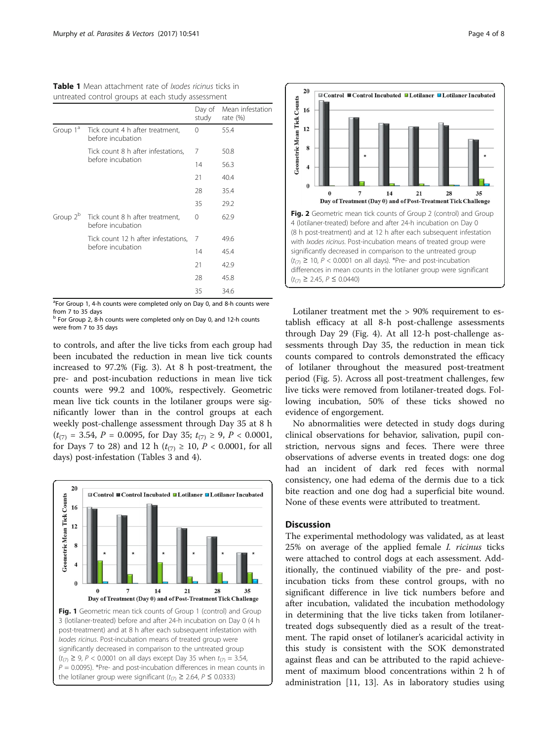<span id="page-3-0"></span>Table 1 Mean attachment rate of *Ixodes ricinus* ticks in untreated control groups at each study assessment

|                      |                                                      | Day of<br>study | Mean infestation<br>rate $(\%)$ |
|----------------------|------------------------------------------------------|-----------------|---------------------------------|
| Group 1 <sup>ª</sup> | Tick count 4 h after treatment,<br>before incubation | 0               | 55.4                            |
|                      | Tick count 8 h after infestations,                   | 7               | 50.8                            |
|                      | before incubation                                    | 14              | 56.3                            |
|                      |                                                      | 21              | 40.4                            |
|                      |                                                      | 28              | 35.4                            |
|                      |                                                      | 35              | 29.2                            |
| Group 2 <sup>b</sup> | Tick count 8 h after treatment,<br>before incubation | 0               | 62.9                            |
|                      | Tick count 12 h after infestations,                  | 7               | 49.6                            |
|                      | before incubation                                    | 14              | 45.4                            |
|                      |                                                      | 21              | 42.9                            |
|                      |                                                      | 28              | 45.8                            |
|                      |                                                      | 35              | 34.6                            |

<sup>a</sup>For Group 1, 4-h counts were completed only on Day 0, and 8-h counts were from 7 to 35 days

<sup>b</sup> For Group 2, 8-h counts were completed only on Day 0, and 12-h counts were from 7 to 35 days

to controls, and after the live ticks from each group had been incubated the reduction in mean live tick counts increased to 97.2% (Fig. [3](#page-5-0)). At 8 h post-treatment, the pre- and post-incubation reductions in mean live tick counts were 99.2 and 100%, respectively. Geometric mean live tick counts in the lotilaner groups were significantly lower than in the control groups at each weekly post-challenge assessment through Day 35 at 8 h  $(t_{(7)} = 3.54, P = 0.0095, \text{ for Day } 35; t_{(7)} \ge 9, P < 0.0001,$ for Days 7 to 28) and 12 h ( $t_{(7)} \ge 10$ ,  $P < 0.0001$ , for all days) post-infestation (Tables [3](#page-4-0) and [4\)](#page-5-0).





Lotilaner treatment met the > 90% requirement to establish efficacy at all 8-h post-challenge assessments through Day 29 (Fig. [4\)](#page-5-0). At all 12-h post-challenge assessments through Day 35, the reduction in mean tick counts compared to controls demonstrated the efficacy of lotilaner throughout the measured post-treatment period (Fig. [5](#page-6-0)). Across all post-treatment challenges, few live ticks were removed from lotilaner-treated dogs. Following incubation, 50% of these ticks showed no evidence of engorgement.

No abnormalities were detected in study dogs during clinical observations for behavior, salivation, pupil constriction, nervous signs and feces. There were three observations of adverse events in treated dogs: one dog had an incident of dark red feces with normal consistency, one had edema of the dermis due to a tick bite reaction and one dog had a superficial bite wound. None of these events were attributed to treatment.

## **Discussion**

The experimental methodology was validated, as at least 25% on average of the applied female I. ricinus ticks were attached to control dogs at each assessment. Additionally, the continued viability of the pre- and postincubation ticks from these control groups, with no significant difference in live tick numbers before and after incubation, validated the incubation methodology in determining that the live ticks taken from lotilanertreated dogs subsequently died as a result of the treatment. The rapid onset of lotilaner's acaricidal activity in this study is consistent with the SOK demonstrated against fleas and can be attributed to the rapid achievement of maximum blood concentrations within 2 h of administration [\[11](#page-6-0), [13\]](#page-6-0). As in laboratory studies using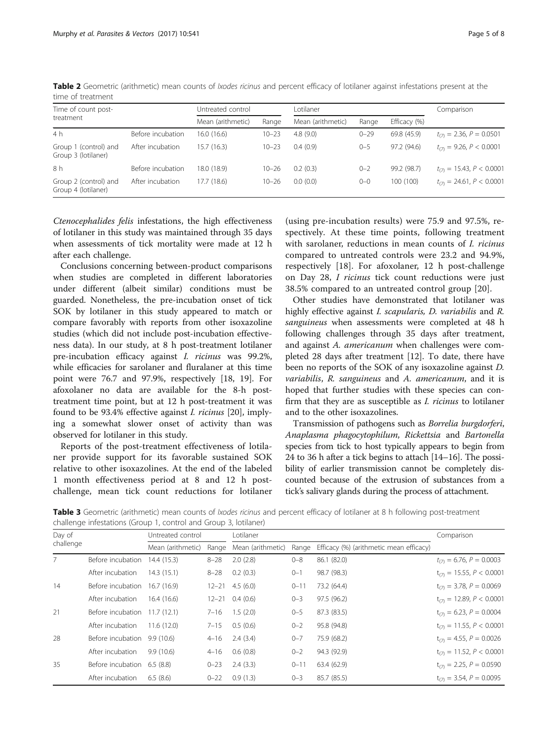| Time of count post-                          |                   | Untreated control |           | Lotilaner         |          |              | Comparison                    |  |  |
|----------------------------------------------|-------------------|-------------------|-----------|-------------------|----------|--------------|-------------------------------|--|--|
| treatment                                    |                   | Mean (arithmetic) | Range     | Mean (arithmetic) | Range    | Efficacy (%) |                               |  |  |
| 4 h                                          | Before incubation | 16.0 (16.6)       | $10 - 23$ | 4.8(9.0)          | $0 - 29$ | 69.8 (45.9)  | $t_{(7)} = 2.36, P = 0.0501$  |  |  |
| Group 1 (control) and<br>Group 3 (lotilaner) | After incubation  | 15.7(16.3)        | $10 - 23$ | 0.4(0.9)          | $0 - 5$  | 97.2 (94.6)  | $t_{(7)} = 9.26, P < 0.0001$  |  |  |
| 8 h                                          | Before incubation | 18.0 (18.9)       | $10 - 26$ | 0.2(0.3)          | $0 - 2$  | 99.2 (98.7)  | $t_{(7)} = 15.43, P < 0.0001$ |  |  |
| Group 2 (control) and<br>Group 4 (lotilaner) | After incubation  | 17.7(18.6)        | $10 - 26$ | 0.0(0.0)          | $0 - 0$  | 100 (100)    | $t_{(7)} = 24.61, P < 0.0001$ |  |  |

<span id="page-4-0"></span>Table 2 Geometric (arithmetic) mean counts of *Ixodes ricinus* and percent efficacy of lotilaner against infestations present at the time of treatment

Ctenocephalides felis infestations, the high effectiveness of lotilaner in this study was maintained through 35 days when assessments of tick mortality were made at 12 h after each challenge.

Conclusions concerning between-product comparisons when studies are completed in different laboratories under different (albeit similar) conditions must be guarded. Nonetheless, the pre-incubation onset of tick SOK by lotilaner in this study appeared to match or compare favorably with reports from other isoxazoline studies (which did not include post-incubation effectiveness data). In our study, at 8 h post-treatment lotilaner pre-incubation efficacy against I. ricinus was 99.2%, while efficacies for sarolaner and fluralaner at this time point were 76.7 and 97.9%, respectively [[18](#page-7-0), [19\]](#page-7-0). For afoxolaner no data are available for the 8-h posttreatment time point, but at 12 h post-treatment it was found to be 93.4% effective against I. ricinus [[20\]](#page-7-0), implying a somewhat slower onset of activity than was observed for lotilaner in this study.

Reports of the post-treatment effectiveness of lotilaner provide support for its favorable sustained SOK relative to other isoxazolines. At the end of the labeled 1 month effectiveness period at 8 and 12 h postchallenge, mean tick count reductions for lotilaner

(using pre-incubation results) were 75.9 and 97.5%, respectively. At these time points, following treatment with sarolaner, reductions in mean counts of *I. ricinus* compared to untreated controls were 23.2 and 94.9%, respectively [[18\]](#page-7-0). For afoxolaner, 12 h post-challenge on Day 28, I ricinus tick count reductions were just 38.5% compared to an untreated control group [[20\]](#page-7-0).

Other studies have demonstrated that lotilaner was highly effective against I. scapularis, D. variabilis and R. sanguineus when assessments were completed at 48 h following challenges through 35 days after treatment, and against A. americanum when challenges were completed 28 days after treatment [[12\]](#page-6-0). To date, there have been no reports of the SOK of any isoxazoline against D. variabilis, R. sanguineus and A. americanum, and it is hoped that further studies with these species can confirm that they are as susceptible as I. ricinus to lotilaner and to the other isoxazolines.

Transmission of pathogens such as Borrelia burgdorferi, Anaplasma phagocytophilum, Rickettsia and Bartonella species from tick to host typically appears to begin from 24 to 36 h after a tick begins to attach [\[14](#page-6-0)–[16](#page-6-0)]. The possibility of earlier transmission cannot be completely discounted because of the extrusion of substances from a tick's salivary glands during the process of attachment.

Table 3 Geometric (arithmetic) mean counts of *Ixodes ricinus* and percent efficacy of lotilaner at 8 h following post-treatment challenge infestations (Group 1, control and Group 3, lotilaner)

| Day of    |                               | Untreated control |           | Lotilaner           |          |                                         | Comparison                      |
|-----------|-------------------------------|-------------------|-----------|---------------------|----------|-----------------------------------------|---------------------------------|
| challenge |                               | Mean (arithmetic) | Range     | Mean (arithmetic)   | Range    | Efficacy (%) (arithmetic mean efficacy) |                                 |
| 7         | Before incubation 14.4 (15.3) |                   | $8 - 28$  | 2.0(2.8)            | $0 - 8$  | 86.1 (82.0)                             | $t_{(7)} = 6.76, P = 0.0003$    |
|           | After incubation              | 14.3(15.1)        | $8 - 28$  | 0.2(0.3)            | $0 - 1$  | 98.7 (98.3)                             | $t_{(7)} = 15.55, P < 0.0001$   |
| 14        | Before incubation 16.7 (16.9) |                   |           | $12 - 21$ 4.5 (6.0) | $0 - 11$ | 73.2 (64.4)                             | $t_{(7)} = 3.78, P = 0.0069$    |
|           | After incubation              | 16.4(16.6)        | $12 - 21$ | 0.4(0.6)            | $0 - 3$  | 97.5 (96.2)                             | $t_{(7)} = 12.89, P < 0.0001$   |
| 21        | Before incubation 11.7 (12.1) |                   | $7 - 16$  | 1.5(2.0)            | $0 - 5$  | 87.3 (83.5)                             | $t_{(7)} = 6.23, P = 0.0004$    |
|           | After incubation              | 11.6(12.0)        | $7 - 15$  | 0.5(0.6)            | $0 - 2$  | 95.8 (94.8)                             | $t_{(7)} = 11.55, P < 0.0001$   |
| 28        | Before incubation 9.9 (10.6)  |                   | $4 - 16$  | 2.4(3.4)            | $0 - 7$  | 75.9 (68.2)                             | $t_{(7)} = 4.55$ , $P = 0.0026$ |
|           | After incubation              | 9.9(10.6)         | $4 - 16$  | 0.6(0.8)            | $0 - 2$  | 94.3 (92.9)                             | $t_{(7)} = 11.52, P < 0.0001$   |
| 35        | Before incubation 6.5 (8.8)   |                   | $0 - 23$  | 2.4(3.3)            | $0 - 11$ | 63.4 (62.9)                             | $t_{(7)} = 2.25, P = 0.0590$    |
|           | After incubation              | 6.5(8.6)          | $0 - 22$  | 0.9(1.3)            | $0 - 3$  | 85.7 (85.5)                             | $t_{(7)} = 3.54, P = 0.0095$    |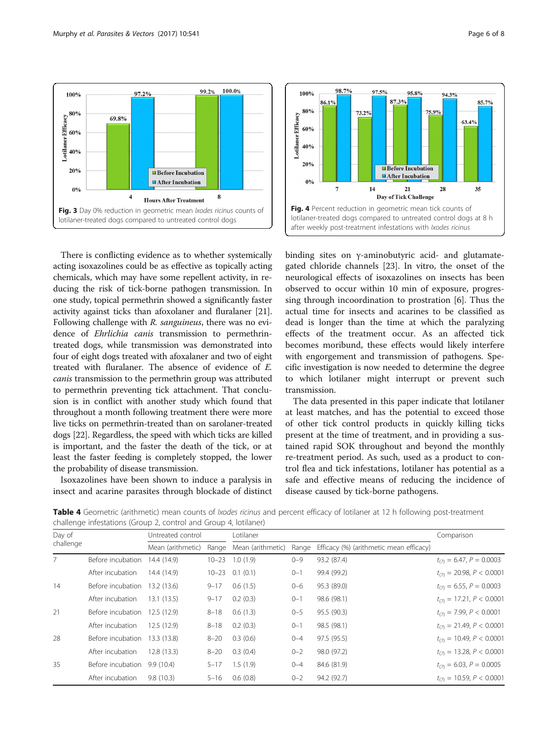<span id="page-5-0"></span>

There is conflicting evidence as to whether systemically acting isoxazolines could be as effective as topically acting chemicals, which may have some repellent activity, in reducing the risk of tick-borne pathogen transmission. In one study, topical permethrin showed a significantly faster activity against ticks than afoxolaner and fluralaner [[21](#page-7-0)]. Following challenge with R. sanguineus, there was no evidence of Ehrlichia canis transmission to permethrintreated dogs, while transmission was demonstrated into four of eight dogs treated with afoxalaner and two of eight treated with fluralaner. The absence of evidence of E. canis transmission to the permethrin group was attributed to permethrin preventing tick attachment. That conclusion is in conflict with another study which found that throughout a month following treatment there were more live ticks on permethrin-treated than on sarolaner-treated dogs [[22\]](#page-7-0). Regardless, the speed with which ticks are killed is important, and the faster the death of the tick, or at least the faster feeding is completely stopped, the lower the probability of disease transmission.

Isoxazolines have been shown to induce a paralysis in insect and acarine parasites through blockade of distinct



binding sites on γ-aminobutyric acid- and glutamategated chloride channels [[23\]](#page-7-0). In vitro, the onset of the neurological effects of isoxazolines on insects has been observed to occur within 10 min of exposure, progressing through incoordination to prostration [[6\]](#page-6-0). Thus the actual time for insects and acarines to be classified as dead is longer than the time at which the paralyzing effects of the treatment occur. As an affected tick becomes moribund, these effects would likely interfere with engorgement and transmission of pathogens. Specific investigation is now needed to determine the degree to which lotilaner might interrupt or prevent such transmission.

The data presented in this paper indicate that lotilaner at least matches, and has the potential to exceed those of other tick control products in quickly killing ticks present at the time of treatment, and in providing a sustained rapid SOK throughout and beyond the monthly re-treatment period. As such, used as a product to control flea and tick infestations, lotilaner has potential as a safe and effective means of reducing the incidence of disease caused by tick-borne pathogens.

Table 4 Geometric (arithmetic) mean counts of *Ixodes ricinus* and percent efficacy of lotilaner at 12 h following post-treatment challenge infestations (Group 2, control and Group 4, lotilaner)

| Day of    |                               | Untreated control |                         | Lotilaner | Comparison |                                         |                               |  |
|-----------|-------------------------------|-------------------|-------------------------|-----------|------------|-----------------------------------------|-------------------------------|--|
| challenge |                               | Mean (arithmetic) | Range Mean (arithmetic) |           | Range      | Efficacy (%) (arithmetic mean efficacy) |                               |  |
| 7         | Before incubation             | 14.4 (14.9)       | $10 - 23$               | 1.0(1.9)  | $0 - 9$    | 93.2 (87.4)                             | $t_{(7)} = 6.47, P = 0.0003$  |  |
|           | After incubation              | 14.4 (14.9)       | $10 - 23$               | 0.1(0.1)  | $0 - 1$    | 99.4 (99.2)                             | $t_{(7)} = 20.98, P < 0.0001$ |  |
| 14        | Before incubation             | 13.2 (13.6)       | $9 - 17$                | 0.6(1.5)  | $0 - 6$    | 95.3 (89.0)                             | $t_{(7)} = 6.55, P = 0.0003$  |  |
|           | After incubation              | 13.1(13.5)        | $9 - 17$                | 0.2(0.3)  | $0 - 1$    | 98.6 (98.1)                             | $t_{(7)} = 17.21, P < 0.0001$ |  |
| 21        | Before incubation             | 12.5 (12.9)       | $8 - 18$                | 0.6(1.3)  | $0 - 5$    | 95.5 (90.3)                             | $t_{(7)} = 7.99, P < 0.0001$  |  |
|           | After incubation              | 12.5 (12.9)       | $8 - 18$                | 0.2(0.3)  | $0 - 1$    | 98.5 (98.1)                             | $t_{(7)} = 21.49, P < 0.0001$ |  |
| 28        | Before incubation 13.3 (13.8) |                   | $8 - 20$                | 0.3(0.6)  | $0 - 4$    | 97.5 (95.5)                             | $t_{(7)} = 10.49, P < 0.0001$ |  |
|           | After incubation              | 12.8(13.3)        | $8 - 20$                | 0.3(0.4)  | $0 - 2$    | 98.0 (97.2)                             | $t_{(7)} = 13.28, P < 0.0001$ |  |
| 35        | Before incubation             | 9.9(10.4)         | $5 - 17$                | 1.5(1.9)  | $0 - 4$    | 84.6 (81.9)                             | $t_{(7)} = 6.03, P = 0.0005$  |  |
|           | After incubation              | 9.8(10.3)         | 5-16                    | 0.6(0.8)  | $0 - 2$    | 94.2 (92.7)                             | $t_{(7)} = 10.59, P < 0.0001$ |  |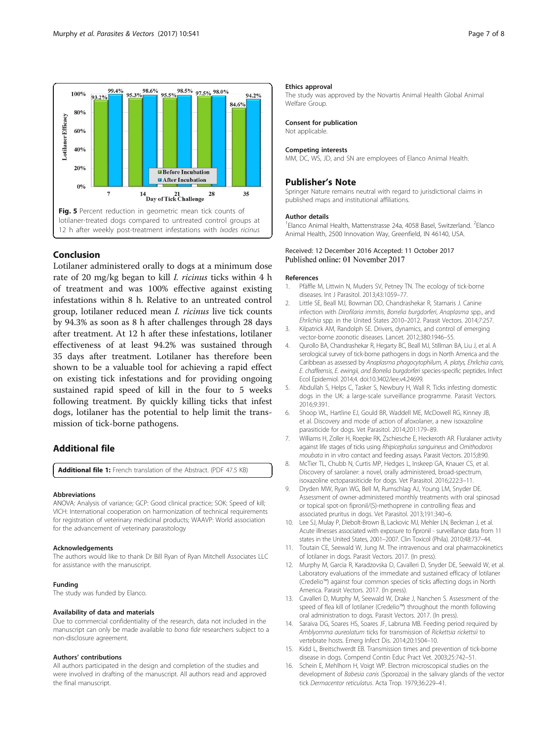<span id="page-6-0"></span>

## Conclusion

Lotilaner administered orally to dogs at a minimum dose rate of 20 mg/kg began to kill I. ricinus ticks within 4 h of treatment and was 100% effective against existing infestations within 8 h. Relative to an untreated control group, lotilaner reduced mean I. ricinus live tick counts by 94.3% as soon as 8 h after challenges through 28 days after treatment. At 12 h after these infestations, lotilaner effectiveness of at least 94.2% was sustained through 35 days after treatment. Lotilaner has therefore been shown to be a valuable tool for achieving a rapid effect on existing tick infestations and for providing ongoing sustained rapid speed of kill in the four to 5 weeks following treatment. By quickly killing ticks that infest dogs, lotilaner has the potential to help limit the transmission of tick-borne pathogens.

## Additional file

[Additional file 1:](dx.doi.org/10.1186/s13071-017-2467-z) French translation of the Abstract. (PDF 47.5 KB)

#### Abbreviations

ANOVA: Analysis of variance; GCP: Good clinical practice; SOK: Speed of kill; VICH: International cooperation on harmonization of technical requirements for registration of veterinary medicinal products; WAAVP: World association for the advancement of veterinary parasitology

#### Acknowledgements

The authors would like to thank Dr Bill Ryan of Ryan Mitchell Associates LLC for assistance with the manuscript.

#### Funding

The study was funded by Elanco.

#### Availability of data and materials

Due to commercial confidentiality of the research, data not included in the manuscript can only be made available to bona fide researchers subject to a non-disclosure agreement.

#### Authors' contributions

All authors participated in the design and completion of the studies and were involved in drafting of the manuscript. All authors read and approved the final manuscript.

#### Ethics approval

The study was approved by the Novartis Animal Health Global Animal Welfare Group.

#### Consent for publication

Not applicable.

#### Competing interests

MM, DC, WS, JD, and SN are employees of Elanco Animal Health.

## Publisher's Note

Springer Nature remains neutral with regard to jurisdictional claims in published maps and institutional affiliations.

#### Author details

<sup>1</sup> Elanco Animal Health, Mattenstrasse 24a, 4058 Basel, Switzerland. <sup>2</sup> Elanco Animal Health, 2500 Innovation Way, Greenfield, IN 46140, USA.

## Received: 12 December 2016 Accepted: 11 October 2017

#### References

- 1. Pfäffle M, Littwin N, Muders SV, Petney TN. The ecology of tick-borne diseases. Int J Parasitol. 2013;43:1059–77.
- 2. Little SE, Beall MJ, Bowman DD, Chandrashekar R, Stamaris J. Canine infection with Dirofilaria immitis, Borrelia burgdorferi, Anaplasma spp., and Ehrlichia spp. in the United States 2010–2012. Parasit Vectors. 2014;7:257.
- 3. Kilpatrick AM, Randolph SE. Drivers, dynamics, and control of emerging vector-borne zoonotic diseases. Lancet. 2012;380:1946–55.
- 4. Qurollo BA, Chandrashekar R, Hegarty BC, Beall MJ, Stillman BA, Liu J, et al. A serological survey of tick-borne pathogens in dogs in North America and the Caribbean as assessed by Anaplasma phagocytophilum, A. platys, Ehrlichia canis, E. chaffeensis, E. ewingii, and Borrelia burgdorferi species-specific peptides. Infect Ecol Epidemiol. 2014;4. doi[:10.3402/iee.v4.24699.](http://dx.doi.org/10.3402/iee.v4.24699)
- 5. Abdullah S, Helps C, Tasker S, Newbury H, Wall R. Ticks infesting domestic dogs in the UK: a large-scale surveillance programme. Parasit Vectors. 2016;9:391.
- 6. Shoop WL, Hartline EJ, Gould BR, Waddell ME, McDowell RG, Kinney JB, et al. Discovery and mode of action of afoxolaner, a new isoxazoline parasiticide for dogs. Vet Parasitol. 2014;201:179–89.
- 7. Williams H, Zoller H, Roepke RK, Zschiesche E, Heckeroth AR. Fluralaner activity against life stages of ticks using Rhipicephalus sanguineus and Ornithodoros moubata in in vitro contact and feeding assays. Parasit Vectors. 2015;8:90.
- 8. McTier TL, Chubb N, Curtis MP, Hedges L, Inskeep GA, Knauer CS, et al. Discovery of sarolaner: a novel, orally administered, broad-spectrum, isoxazoline ectoparasiticide for dogs. Vet Parasitol. 2016;222:3–11.
- 9. Dryden MW, Ryan WG, Bell M, Rumschlag AJ, Young LM, Snyder DE. Assessment of owner-administered monthly treatments with oral spinosad or topical spot-on fipronil/(S)-methoprene in controlling fleas and associated pruritus in dogs. Vet Parasitol. 2013;191:340–6.
- 10. Lee SJ, Mulay P, Diebolt-Brown B, Lackovic MJ, Mehler LN, Beckman J, et al. Acute illnesses associated with exposure to fipronil - surveillance data from 11 states in the United States, 2001–2007. Clin Toxicol (Phila). 2010;48:737–44.
- 11. Toutain CE, Seewald W, Jung M. The intravenous and oral pharmacokinetics of lotilaner in dogs. Parasit Vectors. 2017. (In press).
- 12. Murphy M, Garcia R, Karadzovska D, Cavalleri D, Snyder DE, Seewald W, et al. Laboratory evaluations of the immediate and sustained efficacy of lotilaner (Credelio™) against four common species of ticks affecting dogs in North America. Parasit Vectors. 2017. (In press).
- 13. Cavalleri D, Murphy M, Seewald W, Drake J, Nanchen S. Assessment of the speed of flea kill of lotilaner (Credelio™) throughout the month following oral administration to dogs. Parasit Vectors. 2017. (In press).
- 14. Saraiva DG, Soares HS, Soares JF, Labruna MB. Feeding period required by Amblyomma aureolatum ticks for transmission of Rickettsia rickettsii to vertebrate hosts. Emerg Infect Dis. 2014;20:1504–10.
- 15. Kidd L, Breitschwerdt EB. Transmission times and prevention of tick-borne disease in dogs. Compend Contin Educ Pract Vet. 2003;25:742–51.
- 16. Schein E, Mehlhorn H, Voigt WP. Electron microscopical studies on the development of Babesia canis (Sporozoa) in the salivary glands of the vector tick Dermacentor reticulatus. Acta Trop. 1979;36:229–41.